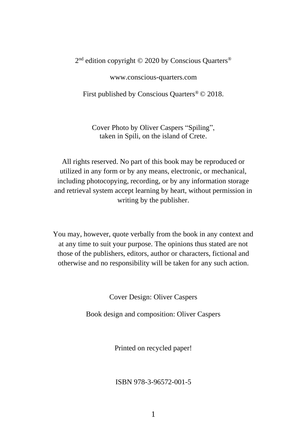2<sup>nd</sup> edition copyright © 2020 by Conscious Quarters®

www.conscious-quarters.com

First published by Conscious Quarters® © 2018.

Cover Photo by Oliver Caspers "Spiling", taken in Spili, on the island of Crete.

All rights reserved. No part of this book may be reproduced or utilized in any form or by any means, electronic, or mechanical, including photocopying, recording, or by any information storage and retrieval system accept learning by heart, without permission in writing by the publisher.

You may, however, quote verbally from the book in any context and at any time to suit your purpose. The opinions thus stated are not those of the publishers, editors, author or characters, fictional and otherwise and no responsibility will be taken for any such action.

Cover Design: Oliver Caspers

Book design and composition: Oliver Caspers

Printed on recycled paper!

ISBN 978-3-96572-001-5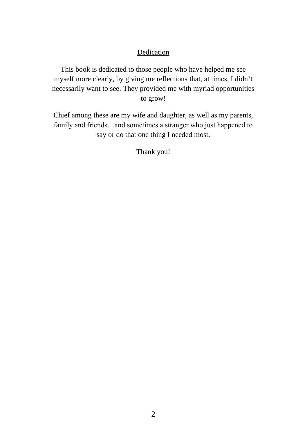#### Dedication

This book is dedicated to those people who have helped me see myself more clearly, by giving me reflections that, at times, I didn't necessarily want to see. They provided me with myriad opportunities to grow!

Chief among these are my wife and daughter, as well as my parents, family and friends…and sometimes a stranger who just happened to say or do that one thing I needed most.

Thank you!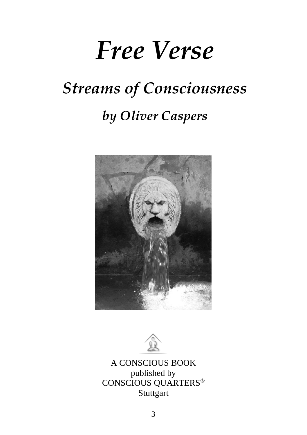# *Free Verse*

# *Streams of Consciousness*

## *by Oliver Caspers*





A CONSCIOUS BOOK published by CONSCIOUS QUARTERS® **Stuttgart**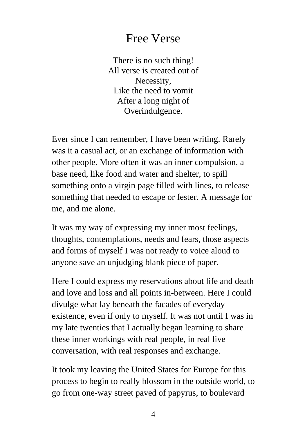### Free Verse

There is no such thing! All verse is created out of Necessity, Like the need to vomit After a long night of Overindulgence.

Ever since I can remember, I have been writing. Rarely was it a casual act, or an exchange of information with other people. More often it was an inner compulsion, a base need, like food and water and shelter, to spill something onto a virgin page filled with lines, to release something that needed to escape or fester. A message for me, and me alone.

It was my way of expressing my inner most feelings, thoughts, contemplations, needs and fears, those aspects and forms of myself I was not ready to voice aloud to anyone save an unjudging blank piece of paper.

Here I could express my reservations about life and death and love and loss and all points in-between. Here I could divulge what lay beneath the facades of everyday existence, even if only to myself. It was not until I was in my late twenties that I actually began learning to share these inner workings with real people, in real live conversation, with real responses and exchange.

It took my leaving the United States for Europe for this process to begin to really blossom in the outside world, to go from one-way street paved of papyrus, to boulevard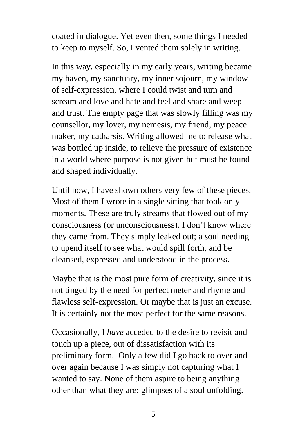coated in dialogue. Yet even then, some things I needed to keep to myself. So, I vented them solely in writing.

In this way, especially in my early years, writing became my haven, my sanctuary, my inner sojourn, my window of self-expression, where I could twist and turn and scream and love and hate and feel and share and weep and trust. The empty page that was slowly filling was my counsellor, my lover, my nemesis, my friend, my peace maker, my catharsis. Writing allowed me to release what was bottled up inside, to relieve the pressure of existence in a world where purpose is not given but must be found and shaped individually.

Until now, I have shown others very few of these pieces. Most of them I wrote in a single sitting that took only moments. These are truly streams that flowed out of my consciousness (or unconsciousness). I don't know where they came from. They simply leaked out; a soul needing to upend itself to see what would spill forth, and be cleansed, expressed and understood in the process.

Maybe that is the most pure form of creativity, since it is not tinged by the need for perfect meter and rhyme and flawless self-expression. Or maybe that is just an excuse. It is certainly not the most perfect for the same reasons.

Occasionally, I *have* acceded to the desire to revisit and touch up a piece, out of dissatisfaction with its preliminary form. Only a few did I go back to over and over again because I was simply not capturing what I wanted to say. None of them aspire to being anything other than what they are: glimpses of a soul unfolding.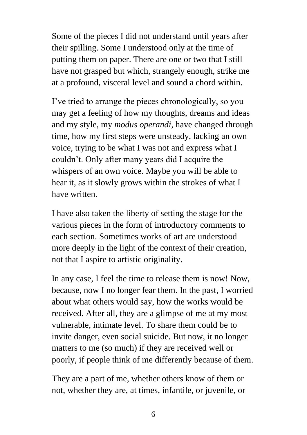Some of the pieces I did not understand until years after their spilling. Some I understood only at the time of putting them on paper. There are one or two that I still have not grasped but which, strangely enough, strike me at a profound, visceral level and sound a chord within.

I've tried to arrange the pieces chronologically, so you may get a feeling of how my thoughts, dreams and ideas and my style, my *modus operandi*, have changed through time, how my first steps were unsteady, lacking an own voice, trying to be what I was not and express what I couldn't. Only after many years did I acquire the whispers of an own voice. Maybe you will be able to hear it, as it slowly grows within the strokes of what I have written.

I have also taken the liberty of setting the stage for the various pieces in the form of introductory comments to each section. Sometimes works of art are understood more deeply in the light of the context of their creation, not that I aspire to artistic originality.

In any case, I feel the time to release them is now! Now, because, now I no longer fear them. In the past, I worried about what others would say, how the works would be received. After all, they are a glimpse of me at my most vulnerable, intimate level. To share them could be to invite danger, even social suicide. But now, it no longer matters to me (so much) if they are received well or poorly, if people think of me differently because of them.

They are a part of me, whether others know of them or not, whether they are, at times, infantile, or juvenile, or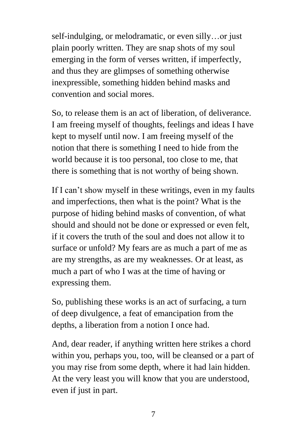self-indulging, or melodramatic, or even silly…or just plain poorly written. They are snap shots of my soul emerging in the form of verses written, if imperfectly, and thus they are glimpses of something otherwise inexpressible, something hidden behind masks and convention and social mores.

So, to release them is an act of liberation, of deliverance. I am freeing myself of thoughts, feelings and ideas I have kept to myself until now. I am freeing myself of the notion that there is something I need to hide from the world because it is too personal, too close to me, that there is something that is not worthy of being shown.

If I can't show myself in these writings, even in my faults and imperfections, then what is the point? What is the purpose of hiding behind masks of convention, of what should and should not be done or expressed or even felt, if it covers the truth of the soul and does not allow it to surface or unfold? My fears are as much a part of me as are my strengths, as are my weaknesses. Or at least, as much a part of who I was at the time of having or expressing them.

So, publishing these works is an act of surfacing, a turn of deep divulgence, a feat of emancipation from the depths, a liberation from a notion I once had.

And, dear reader, if anything written here strikes a chord within you, perhaps you, too, will be cleansed or a part of you may rise from some depth, where it had lain hidden. At the very least you will know that you are understood, even if just in part.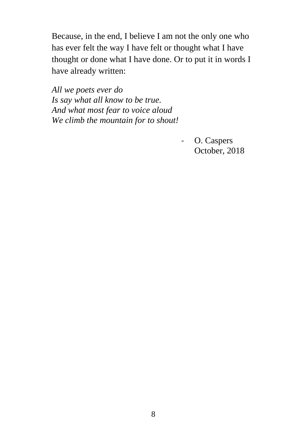Because, in the end, I believe I am not the only one who has ever felt the way I have felt or thought what I have thought or done what I have done. Or to put it in words I have already written:

*All we poets ever do Is say what all know to be true. And what most fear to voice aloud We climb the mountain for to shout!*

> *-* O. Caspers October, 2018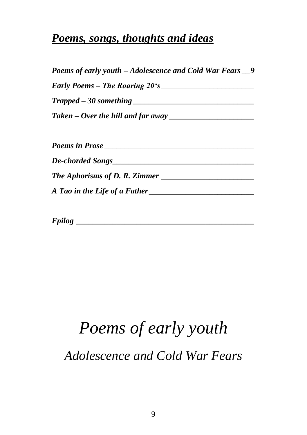### *Poems, songs, thoughts and ideas*

| Poems of early youth – Adolescence and Cold War Fears 9                                         |
|-------------------------------------------------------------------------------------------------|
|                                                                                                 |
| $Trapped -30 something ________$                                                                |
| Taken – Over the hill and far away $\frac{1}{\sqrt{1-\frac{1}{n}}}\left\{ \frac{1}{n} \right\}$ |
|                                                                                                 |
|                                                                                                 |
| De-chorded Songs                                                                                |
|                                                                                                 |
| A Tao in the Life of a Father                                                                   |
|                                                                                                 |

*Epilog \_\_\_\_\_\_\_\_\_\_\_\_\_\_\_\_\_\_\_\_\_\_\_\_\_\_\_\_\_\_\_\_\_\_\_\_\_\_\_\_\_\_\_\_*

## <span id="page-8-0"></span>*Poems of early youth Adolescence and Cold War Fears*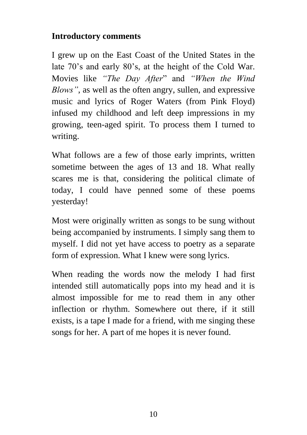#### **Introductory comments**

I grew up on the East Coast of the United States in the late 70's and early 80's, at the height of the Cold War. Movies like *"The Day After*" and *"When the Wind Blows"*, as well as the often angry, sullen, and expressive music and lyrics of Roger Waters (from Pink Floyd) infused my childhood and left deep impressions in my growing, teen-aged spirit. To process them I turned to writing.

What follows are a few of those early imprints, written sometime between the ages of 13 and 18. What really scares me is that, considering the political climate of today, I could have penned some of these poems yesterday!

Most were originally written as songs to be sung without being accompanied by instruments. I simply sang them to myself. I did not yet have access to poetry as a separate form of expression. What I knew were song lyrics.

When reading the words now the melody I had first intended still automatically pops into my head and it is almost impossible for me to read them in any other inflection or rhythm. Somewhere out there, if it still exists, is a tape I made for a friend, with me singing these songs for her. A part of me hopes it is never found.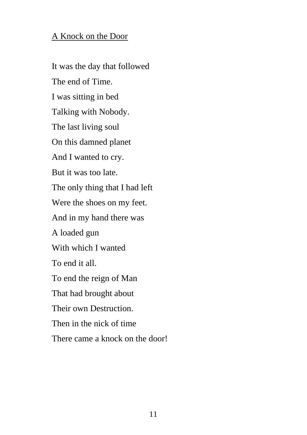#### A Knock on the Door

It was the day that followed The end of Time. I was sitting in bed Talking with Nobody. The last living soul On this damned planet And I wanted to cry. But it was too late. The only thing that I had left Were the shoes on my feet. And in my hand there was A loaded gun With which I wanted To end it all. To end the reign of Man That had brought about Their own Destruction. Then in the nick of time There came a knock on the door!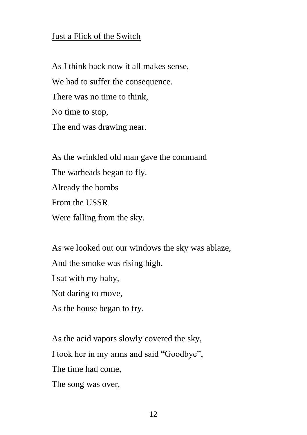#### Just a Flick of the Switch

As I think back now it all makes sense, We had to suffer the consequence. There was no time to think, No time to stop, The end was drawing near.

As the wrinkled old man gave the command The warheads began to fly. Already the bombs From the USSR Were falling from the sky.

As we looked out our windows the sky was ablaze, And the smoke was rising high. I sat with my baby, Not daring to move, As the house began to fry.

As the acid vapors slowly covered the sky, I took her in my arms and said "Goodbye", The time had come, The song was over,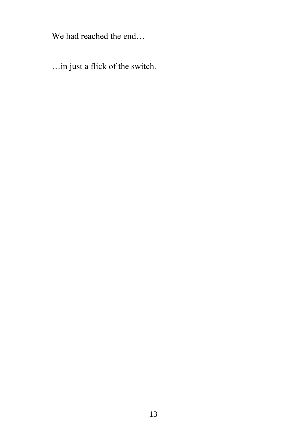We had reached the end...

…in just a flick of the switch.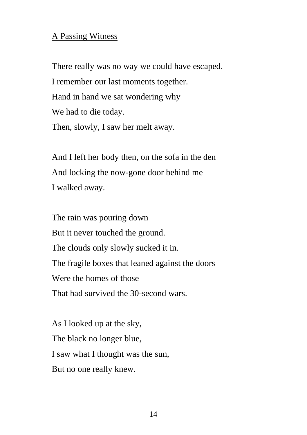#### A Passing Witness

There really was no way we could have escaped. I remember our last moments together. Hand in hand we sat wondering why We had to die today. Then, slowly, I saw her melt away.

And I left her body then, on the sofa in the den And locking the now-gone door behind me I walked away.

The rain was pouring down But it never touched the ground. The clouds only slowly sucked it in. The fragile boxes that leaned against the doors Were the homes of those That had survived the 30-second wars.

As I looked up at the sky, The black no longer blue, I saw what I thought was the sun, But no one really knew.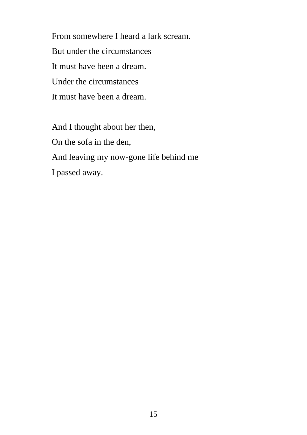From somewhere I heard a lark scream. But under the circumstances It must have been a dream. Under the circumstances It must have been a dream.

And I thought about her then, On the sofa in the den, And leaving my now-gone life behind me I passed away.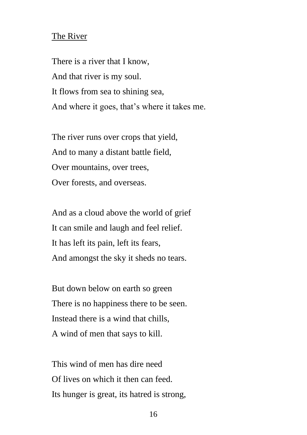#### The River

There is a river that I know, And that river is my soul. It flows from sea to shining sea, And where it goes, that's where it takes me.

The river runs over crops that yield, And to many a distant battle field, Over mountains, over trees, Over forests, and overseas.

And as a cloud above the world of grief It can smile and laugh and feel relief. It has left its pain, left its fears, And amongst the sky it sheds no tears.

But down below on earth so green There is no happiness there to be seen. Instead there is a wind that chills, A wind of men that says to kill.

This wind of men has dire need Of lives on which it then can feed. Its hunger is great, its hatred is strong,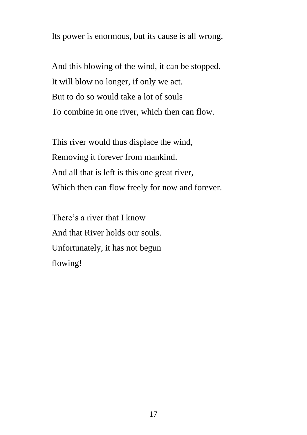Its power is enormous, but its cause is all wrong.

And this blowing of the wind, it can be stopped. It will blow no longer, if only we act. But to do so would take a lot of souls To combine in one river, which then can flow.

This river would thus displace the wind, Removing it forever from mankind. And all that is left is this one great river, Which then can flow freely for now and forever.

There's a river that I know And that River holds our souls. Unfortunately, it has not begun flowing!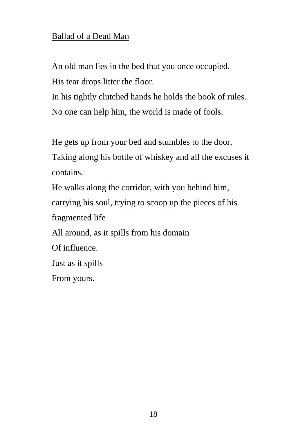#### Ballad of a Dead Man

An old man lies in the bed that you once occupied. His tear drops litter the floor.

In his tightly clutched hands he holds the book of rules. No one can help him, the world is made of fools.

He gets up from your bed and stumbles to the door, Taking along his bottle of whiskey and all the excuses it contains.

He walks along the corridor, with you behind him, carrying his soul, trying to scoop up the pieces of his fragmented life All around, as it spills from his domain Of influence. Just as it spills From yours.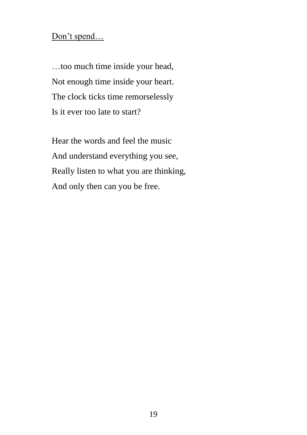#### Don't spend…

…too much time inside your head, Not enough time inside your heart. The clock ticks time remorselessly Is it ever too late to start?

Hear the words and feel the music And understand everything you see, Really listen to what you are thinking, And only then can you be free.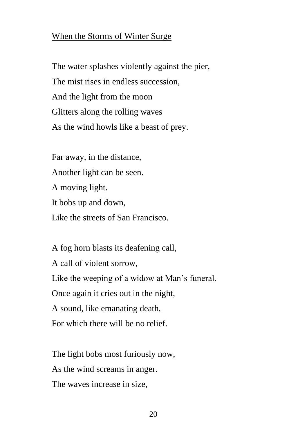#### When the Storms of Winter Surge

The water splashes violently against the pier, The mist rises in endless succession, And the light from the moon Glitters along the rolling waves As the wind howls like a beast of prey.

Far away, in the distance, Another light can be seen. A moving light. It bobs up and down, Like the streets of San Francisco.

A fog horn blasts its deafening call, A call of violent sorrow, Like the weeping of a widow at Man's funeral. Once again it cries out in the night, A sound, like emanating death, For which there will be no relief.

The light bobs most furiously now, As the wind screams in anger. The waves increase in size,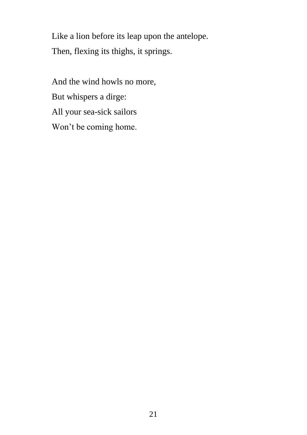Like a lion before its leap upon the antelope. Then, flexing its thighs, it springs.

And the wind howls no more, But whispers a dirge: All your sea-sick sailors Won't be coming home.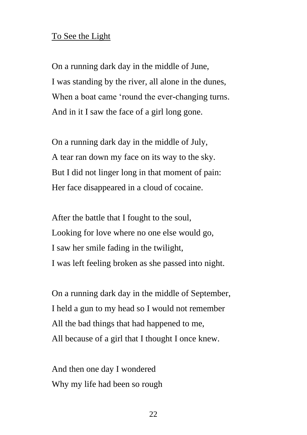#### To See the Light

On a running dark day in the middle of June, I was standing by the river, all alone in the dunes, When a boat came 'round the ever-changing turns. And in it I saw the face of a girl long gone.

On a running dark day in the middle of July, A tear ran down my face on its way to the sky. But I did not linger long in that moment of pain: Her face disappeared in a cloud of cocaine.

After the battle that I fought to the soul, Looking for love where no one else would go, I saw her smile fading in the twilight, I was left feeling broken as she passed into night.

On a running dark day in the middle of September, I held a gun to my head so I would not remember All the bad things that had happened to me, All because of a girl that I thought I once knew.

And then one day I wondered Why my life had been so rough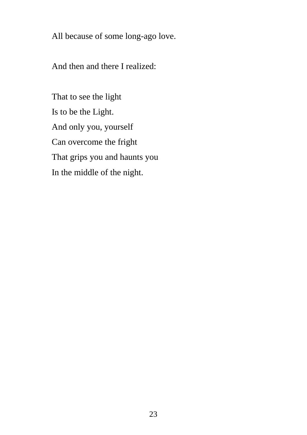All because of some long-ago love.

And then and there I realized:

That to see the light Is to be the Light. And only you, yourself Can overcome the fright That grips you and haunts you In the middle of the night.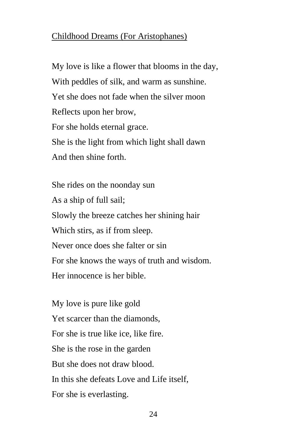#### Childhood Dreams (For Aristophanes)

My love is like a flower that blooms in the day, With peddles of silk, and warm as sunshine. Yet she does not fade when the silver moon Reflects upon her brow, For she holds eternal grace. She is the light from which light shall dawn And then shine forth.

She rides on the noonday sun As a ship of full sail; Slowly the breeze catches her shining hair Which stirs, as if from sleep. Never once does she falter or sin For she knows the ways of truth and wisdom. Her innocence is her bible.

My love is pure like gold Yet scarcer than the diamonds, For she is true like ice, like fire. She is the rose in the garden But she does not draw blood. In this she defeats Love and Life itself, For she is everlasting.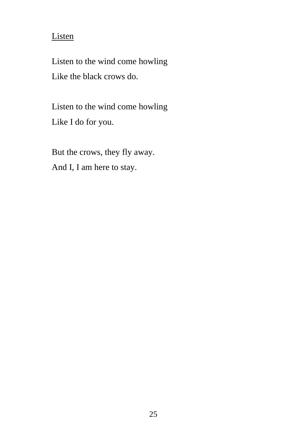#### Listen

Listen to the wind come howling Like the black crows do.

Listen to the wind come howling Like I do for you.

But the crows, they fly away. And I, I am here to stay.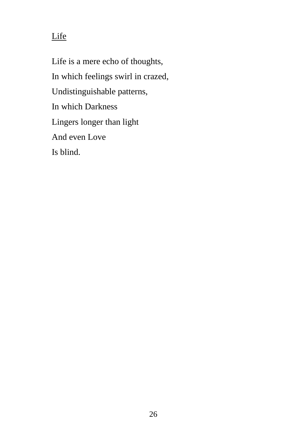#### Life

Life is a mere echo of thoughts, In which feelings swirl in crazed, Undistinguishable patterns, In which Darkness Lingers longer than light And even Love Is blind.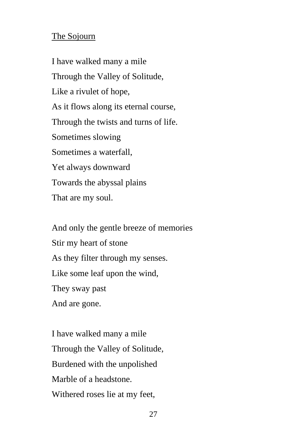#### The Sojourn

I have walked many a mile Through the Valley of Solitude, Like a rivulet of hope, As it flows along its eternal course, Through the twists and turns of life. Sometimes slowing Sometimes a waterfall, Yet always downward Towards the abyssal plains That are my soul.

And only the gentle breeze of memories Stir my heart of stone As they filter through my senses. Like some leaf upon the wind, They sway past And are gone.

I have walked many a mile Through the Valley of Solitude, Burdened with the unpolished Marble of a headstone. Withered roses lie at my feet,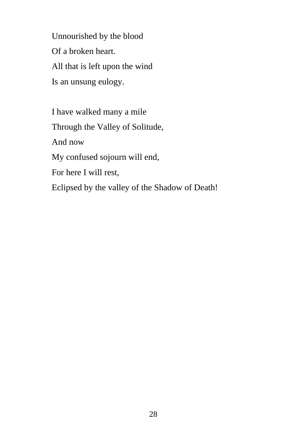Unnourished by the blood Of a broken heart. All that is left upon the wind Is an unsung eulogy.

I have walked many a mile Through the Valley of Solitude, And now My confused sojourn will end, For here I will rest, Eclipsed by the valley of the Shadow of Death!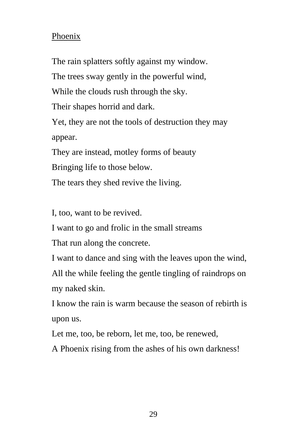#### Phoenix

The rain splatters softly against my window.

The trees sway gently in the powerful wind,

While the clouds rush through the sky.

Their shapes horrid and dark.

Yet, they are not the tools of destruction they may appear.

They are instead, motley forms of beauty

Bringing life to those below.

The tears they shed revive the living.

I, too, want to be revived.

I want to go and frolic in the small streams

That run along the concrete.

I want to dance and sing with the leaves upon the wind,

All the while feeling the gentle tingling of raindrops on my naked skin.

I know the rain is warm because the season of rebirth is upon us.

Let me, too, be reborn, let me, too, be renewed,

A Phoenix rising from the ashes of his own darkness!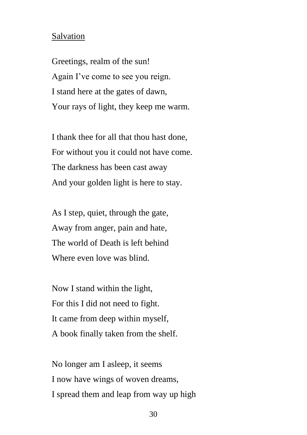#### Salvation

Greetings, realm of the sun! Again I've come to see you reign. I stand here at the gates of dawn, Your rays of light, they keep me warm.

I thank thee for all that thou hast done, For without you it could not have come. The darkness has been cast away And your golden light is here to stay.

As I step, quiet, through the gate, Away from anger, pain and hate, The world of Death is left behind Where even love was blind.

Now I stand within the light, For this I did not need to fight. It came from deep within myself, A book finally taken from the shelf.

No longer am I asleep, it seems I now have wings of woven dreams, I spread them and leap from way up high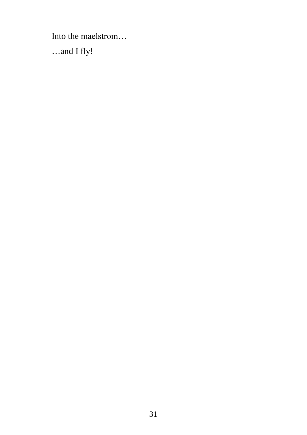Into the maelstrom…

…and I fly!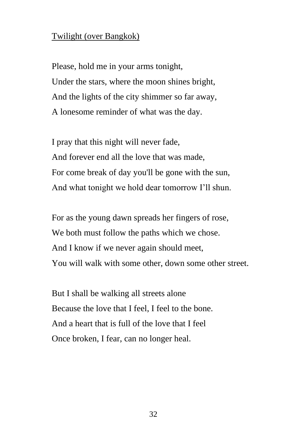#### Twilight (over Bangkok)

Please, hold me in your arms tonight, Under the stars, where the moon shines bright, And the lights of the city shimmer so far away, A lonesome reminder of what was the day.

I pray that this night will never fade, And forever end all the love that was made, For come break of day you'll be gone with the sun, And what tonight we hold dear tomorrow I'll shun.

For as the young dawn spreads her fingers of rose, We both must follow the paths which we chose. And I know if we never again should meet, You will walk with some other, down some other street.

But I shall be walking all streets alone Because the love that I feel, I feel to the bone. And a heart that is full of the love that I feel Once broken, I fear, can no longer heal.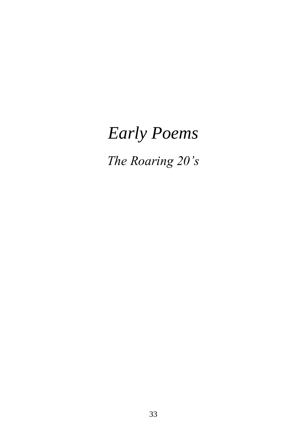## <span id="page-32-0"></span>*Early Poems*

*The Roaring 20's*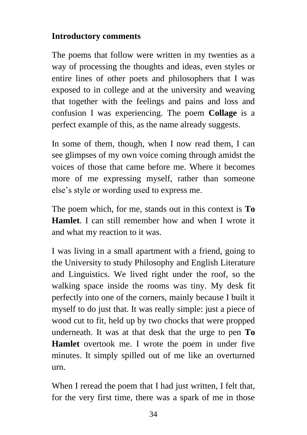#### **Introductory comments**

The poems that follow were written in my twenties as a way of processing the thoughts and ideas, even styles or entire lines of other poets and philosophers that I was exposed to in college and at the university and weaving that together with the feelings and pains and loss and confusion I was experiencing. The poem **Collage** is a perfect example of this, as the name already suggests.

In some of them, though, when I now read them, I can see glimpses of my own voice coming through amidst the voices of those that came before me. Where it becomes more of me expressing myself, rather than someone else's style or wording used to express me.

The poem which, for me, stands out in this context is **To Hamlet**. I can still remember how and when I wrote it and what my reaction to it was.

I was living in a small apartment with a friend, going to the University to study Philosophy and English Literature and Linguistics. We lived right under the roof, so the walking space inside the rooms was tiny. My desk fit perfectly into one of the corners, mainly because I built it myself to do just that. It was really simple: just a piece of wood cut to fit, held up by two chocks that were propped underneath. It was at that desk that the urge to pen **To Hamlet** overtook me. I wrote the poem in under five minutes. It simply spilled out of me like an overturned urn.

When I reread the poem that I had just written, I felt that, for the very first time, there was a spark of me in those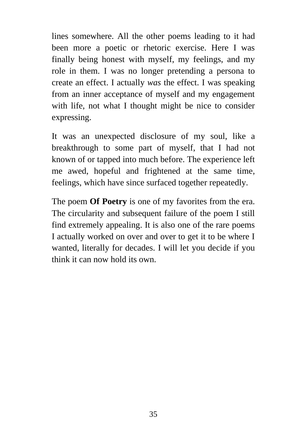lines somewhere. All the other poems leading to it had been more a poetic or rhetoric exercise. Here I was finally being honest with myself, my feelings, and my role in them. I was no longer pretending a persona to create an effect. I actually *was* the effect. I was speaking from an inner acceptance of myself and my engagement with life, not what I thought might be nice to consider expressing.

It was an unexpected disclosure of my soul, like a breakthrough to some part of myself, that I had not known of or tapped into much before. The experience left me awed, hopeful and frightened at the same time, feelings, which have since surfaced together repeatedly.

The poem **Of Poetry** is one of my favorites from the era. The circularity and subsequent failure of the poem I still find extremely appealing. It is also one of the rare poems I actually worked on over and over to get it to be where I wanted, literally for decades. I will let you decide if you think it can now hold its own.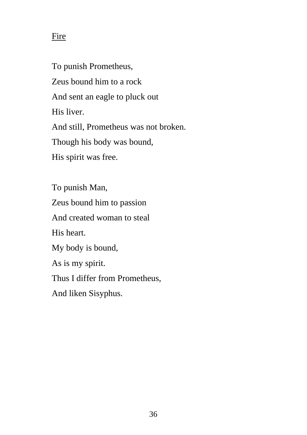#### Fire

To punish Prometheus, Zeus bound him to a rock And sent an eagle to pluck out His liver. And still, Prometheus was not broken. Though his body was bound, His spirit was free.

To punish Man, Zeus bound him to passion And created woman to steal His heart. My body is bound, As is my spirit. Thus I differ from Prometheus, And liken Sisyphus.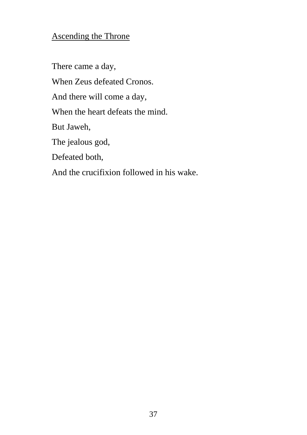#### Ascending the Throne

There came a day, When Zeus defeated Cronos. And there will come a day, When the heart defeats the mind. But Jaweh, The jealous god, Defeated both, And the crucifixion followed in his wake.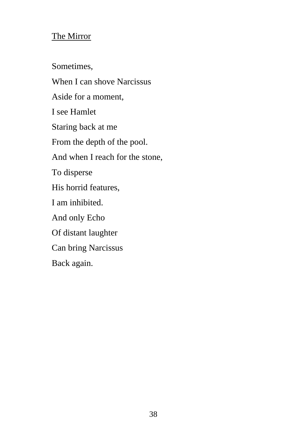#### The Mirror

Sometimes, When I can shove Narcissus Aside for a moment, I see Hamlet Staring back at me From the depth of the pool. And when I reach for the stone, To disperse His horrid features, I am inhibited. And only Echo Of distant laughter Can bring Narcissus Back again.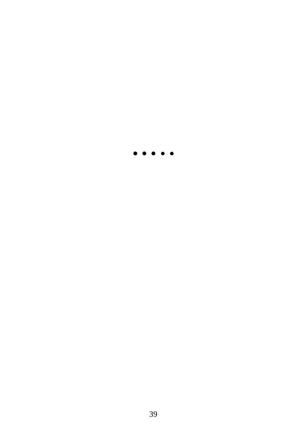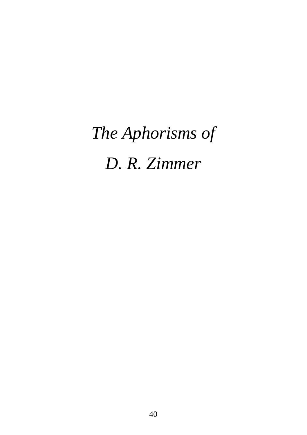# <span id="page-39-0"></span>*The Aphorisms of D. R. Zimmer*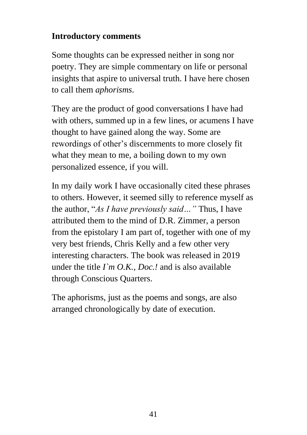#### **Introductory comments**

Some thoughts can be expressed neither in song nor poetry. They are simple commentary on life or personal insights that aspire to universal truth. I have here chosen to call them *aphorisms*.

They are the product of good conversations I have had with others, summed up in a few lines, or acumens I have thought to have gained along the way. Some are rewordings of other's discernments to more closely fit what they mean to me, a boiling down to my own personalized essence, if you will.

In my daily work I have occasionally cited these phrases to others. However, it seemed silly to reference myself as the author, "*As I have previously said…"* Thus, I have attributed them to the mind of D.R. Zimmer, a person from the epistolary I am part of, together with one of my very best friends, Chris Kelly and a few other very interesting characters. The book was released in 2019 under the title *I`m O.K., Doc.!* and is also available through Conscious Quarters.

The aphorisms, just as the poems and songs, are also arranged chronologically by date of execution.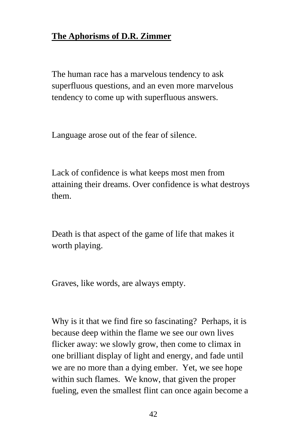#### **The Aphorisms of D.R. Zimmer**

The human race has a marvelous tendency to ask superfluous questions, and an even more marvelous tendency to come up with superfluous answers.

Language arose out of the fear of silence.

Lack of confidence is what keeps most men from attaining their dreams. Over confidence is what destroys them.

Death is that aspect of the game of life that makes it worth playing.

Graves, like words, are always empty.

Why is it that we find fire so fascinating? Perhaps, it is because deep within the flame we see our own lives flicker away: we slowly grow, then come to climax in one brilliant display of light and energy, and fade until we are no more than a dying ember. Yet, we see hope within such flames. We know, that given the proper fueling, even the smallest flint can once again become a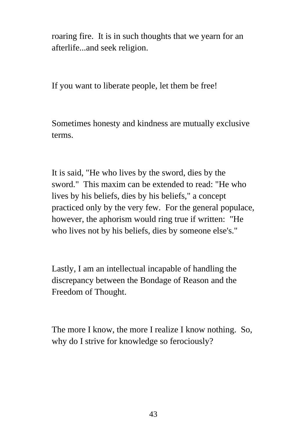roaring fire. It is in such thoughts that we yearn for an afterlife...and seek religion.

If you want to liberate people, let them be free!

Sometimes honesty and kindness are mutually exclusive terms.

It is said, "He who lives by the sword, dies by the sword." This maxim can be extended to read: "He who lives by his beliefs, dies by his beliefs," a concept practiced only by the very few. For the general populace, however, the aphorism would ring true if written: "He who lives not by his beliefs, dies by someone else's."

Lastly, I am an intellectual incapable of handling the discrepancy between the Bondage of Reason and the Freedom of Thought.

The more I know, the more I realize I know nothing. So, why do I strive for knowledge so ferociously?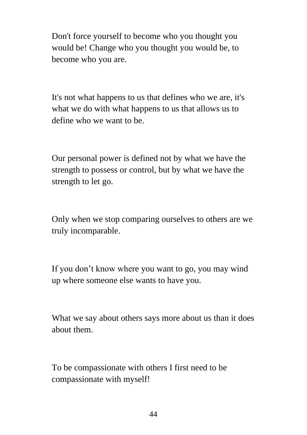Don't force yourself to become who you thought you would be! Change who you thought you would be, to become who you are.

It's not what happens to us that defines who we are, it's what we do with what happens to us that allows us to define who we want to be.

Our personal power is defined not by what we have the strength to possess or control, but by what we have the strength to let go.

Only when we stop comparing ourselves to others are we truly incomparable.

If you don't know where you want to go, you may wind up where someone else wants to have you.

What we say about others says more about us than it does about them.

To be compassionate with others I first need to be compassionate with myself!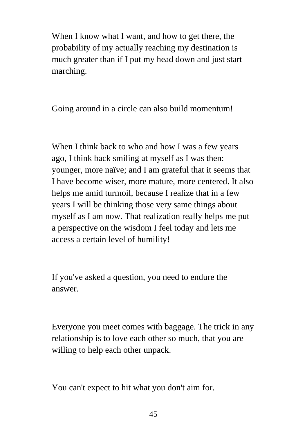When I know what I want, and how to get there, the probability of my actually reaching my destination is much greater than if I put my head down and just start marching.

Going around in a circle can also build momentum!

When I think back to who and how I was a few years ago, I think back smiling at myself as I was then: younger, more naïve; and I am grateful that it seems that I have become wiser, more mature, more centered. It also helps me amid turmoil, because I realize that in a few years I will be thinking those very same things about myself as I am now. That realization really helps me put a perspective on the wisdom I feel today and lets me access a certain level of humility!

If you've asked a question, you need to endure the answer.

[Everyone you meet comes with baggage. The trick in any](http://sybest.de/typo3/sysext/cms/layout/db_layout.php?id=4)  [relationship is to love each other so much, that you are](http://sybest.de/typo3/sysext/cms/layout/db_layout.php?id=4)  [willing to help each other unpack.](http://sybest.de/typo3/sysext/cms/layout/db_layout.php?id=4) 

[You can't expect to hit what you don't aim for.](http://sybest.de/typo3/sysext/cms/layout/db_layout.php?id=4)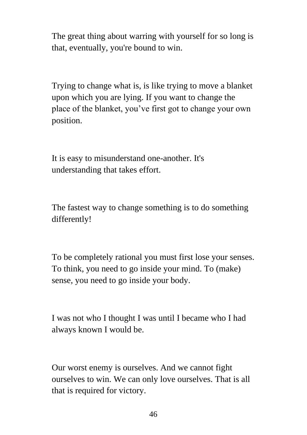[The great thing about warring with yourself for so long is](http://sybest.de/typo3/sysext/cms/layout/db_layout.php?id=4)  [that, eventually, you're bound to win.](http://sybest.de/typo3/sysext/cms/layout/db_layout.php?id=4)

Trying to change what is, is like trying to move a blanket upon which you are lying. If you want to change the place of the blanket, you've first got to change your own position.

It is easy to misunderstand one-another. It's understanding that takes effort.

The fastest way to change something is to do something differently!

To be completely rational you must first lose your senses. To think, you need to go inside your mind. To (make) sense, you need to go inside your body.

I was not who I thought I was until I became who I had always known I would be.

Our worst enemy is ourselves. And we cannot fight ourselves to win. We can only love ourselves. That is all that is required for victory.